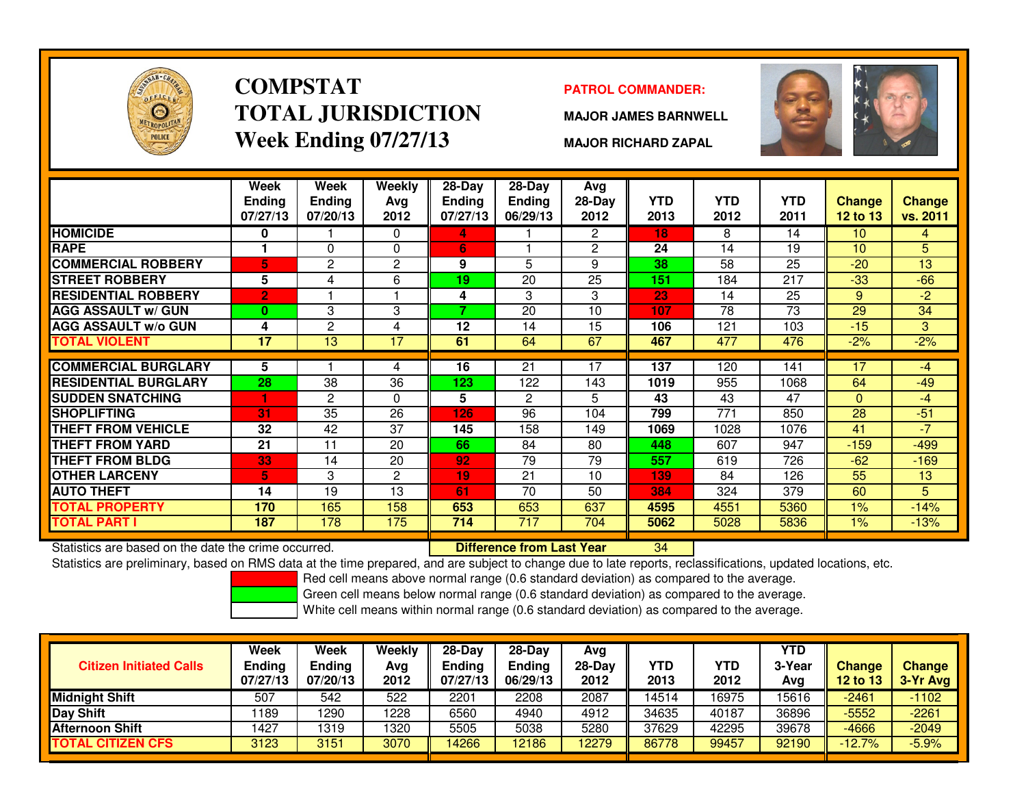

### **COMPSTATTOTAL JURISDICTIONWeek Ending 07/27/13**

### **PATROL COMMANDER:**

**MAJOR JAMES BARNWELL**



**MAJOR RICHARD ZAPAL**

|                                                      | Week<br>Ending<br>07/27/13 | Week<br><b>Ending</b><br>07/20/13 | Weekly<br>Ava<br>2012 | 28-Day<br><b>Ending</b><br>07/27/13 | $28-Day$<br><b>Ending</b><br>06/29/13 | Avg<br>28-Day<br>2012 | <b>YTD</b><br>2013 | <b>YTD</b><br>2012 | <b>YTD</b><br>2011 | Change<br><b>12 to 13</b> | <b>Change</b><br>vs. 2011 |
|------------------------------------------------------|----------------------------|-----------------------------------|-----------------------|-------------------------------------|---------------------------------------|-----------------------|--------------------|--------------------|--------------------|---------------------------|---------------------------|
| <b>HOMICIDE</b>                                      | 0                          |                                   | $\Omega$              | 4.                                  |                                       | 2                     | 18                 | 8                  | 14                 | 10                        | 4                         |
| <b>RAPE</b>                                          |                            | 0                                 | $\Omega$              | 6                                   |                                       | $\overline{2}$        | 24                 | 14                 | 19                 | 10                        | 5                         |
| <b>COMMERCIAL ROBBERY</b>                            | 5                          | 2                                 | $\mathbf{2}$          | 9                                   | 5                                     | 9                     | 38                 | 58                 | 25                 | $-20$                     | 13                        |
| <b>STREET ROBBERY</b>                                | 5                          | 4                                 | 6                     | 19                                  | 20                                    | 25                    | 151                | 184                | 217                | $-33$                     | $-66$                     |
| <b>RESIDENTIAL ROBBERY</b>                           | $\overline{2}$             |                                   |                       | 4                                   | 3                                     | 3                     | 23                 | 14                 | 25                 | 9                         | $-2$                      |
| <b>AGG ASSAULT w/ GUN</b>                            | 0                          | 3                                 | 3                     | 7                                   | 20                                    | 10                    | 107                | 78                 | 73                 | 29                        | 34                        |
| <b>AGG ASSAULT w/o GUN</b>                           | 4                          | 2                                 | 4                     | 12                                  | 14                                    | 15                    | 106                | 121                | 103                | $-15$                     | 3                         |
| <b>TOTAL VIOLENT</b>                                 | 17                         | 13                                | 17                    | 61                                  | 64                                    | 67                    | 467                | 477                | 476                | $-2%$                     | $-2%$                     |
|                                                      |                            |                                   |                       |                                     |                                       |                       |                    |                    |                    |                           |                           |
| <b>COMMERCIAL BURGLARY</b>                           | 5                          |                                   | 4                     | 16                                  | 21                                    | 17                    | 137                | 120                | 141                | 17                        | -4                        |
| <b>RESIDENTIAL BURGLARY</b>                          | 28                         | 38                                | 36                    | 123                                 | 122                                   | 143                   | 1019               | 955                | 1068               | 64                        | $-49$                     |
| <b>SUDDEN SNATCHING</b>                              | н                          | 2                                 | $\mathbf{0}$          | 5                                   | 2                                     | 5                     | 43                 | 43                 | 47                 | $\Omega$                  | $-4$                      |
| <b>SHOPLIFTING</b>                                   | 31                         | 35                                | 26                    | 126                                 | 96                                    | 104                   | 799                | 771                | 850                | 28                        | $-51$                     |
| THEFT FROM VEHICLE                                   | 32                         | 42                                | 37                    | 145                                 | 158                                   | 149                   | 1069               | 1028               | 1076               | 41                        | $-7$                      |
| <b>THEFT FROM YARD</b>                               | 21                         | 11                                | 20                    | 66                                  | 84                                    | 80                    | 448                | 607                | 947                | $-159$                    | $-499$                    |
| <b>THEFT FROM BLDG</b>                               | 33                         | 14                                | 20                    | 92                                  | 79                                    | 79                    | 557                | 619                | 726                | $-62$                     | $-169$                    |
| <b>OTHER LARCENY</b>                                 | 5                          | 3                                 | $\mathbf{2}$          | 19                                  | 21                                    | 10                    | 139                | 84                 | 126                | 55                        | 13                        |
| <b>AUTO THEFT</b>                                    | 14                         | 19                                | 13                    | 61                                  | 70                                    | 50                    | 384                | 324                | 379                | 60                        | 5.                        |
| <b>TOTAL PROPERTY</b>                                | 170                        | 165                               | 158                   | 653                                 | 653                                   | 637                   | 4595               | 4551               | 5360               | 1%                        | $-14%$                    |
| <b>TOTAL PART I</b>                                  | 187                        | 178                               | 175                   | 714                                 | $\overline{717}$                      | 704                   | 5062               | 5028               | 5836               | 1%                        | $-13%$                    |
| Statistics are based on the date the crime occurred. |                            |                                   |                       |                                     | <b>Difference from Last Year</b>      |                       | 34                 |                    |                    |                           |                           |

Statistics are based on the date the crime occurred. **Difference from Last Year** 

Statistics are preliminary, based on RMS data at the time prepared, and are subject to change due to late reports, reclassifications, updated locations, etc.

Red cell means above normal range (0.6 standard deviation) as compared to the average.

Green cell means below normal range (0.6 standard deviation) as compared to the average.

| <b>Citizen Initiated Calls</b> | Week<br><b>Ending</b><br>07/27/13 | Week<br>Ending<br>07/20/13 | Weekly<br>Avg<br>2012 | $28-Day$<br><b>Ending</b><br>07/27/13 | $28-Day$<br><b>Ending</b><br>06/29/13 | Avg<br>28-Dav<br>2012 | YTD<br>2013 | YTD<br>2012 | <b>YTD</b><br>3-Year<br>Ava | <b>Change</b><br>12 to 13 | <b>Change</b><br>3-Yr Avg |
|--------------------------------|-----------------------------------|----------------------------|-----------------------|---------------------------------------|---------------------------------------|-----------------------|-------------|-------------|-----------------------------|---------------------------|---------------------------|
| <b>Midnight Shift</b>          | 507                               | 542                        | 522                   | 2201                                  | 2208                                  | 2087                  | 14514       | 16975       | 15616                       | $-2461$                   | $-1102$                   |
| Day Shift                      | 189                               | 1290                       | 1228                  | 6560                                  | 4940                                  | 4912                  | 34635       | 40187       | 36896                       | $-5552$                   | $-2261$                   |
| <b>Afternoon Shift</b>         | 1427                              | 1319                       | 1320                  | 5505                                  | 5038                                  | 5280                  | 37629       | 42295       | 39678                       | $-4666$                   | $-2049$                   |
| <b>TOTAL CITIZEN CFS</b>       | 3123                              | 3151                       | 3070                  | 14266                                 | 12186                                 | 12279                 | 86778       | 99457       | 92190                       | $-12.7%$                  | $-5.9%$                   |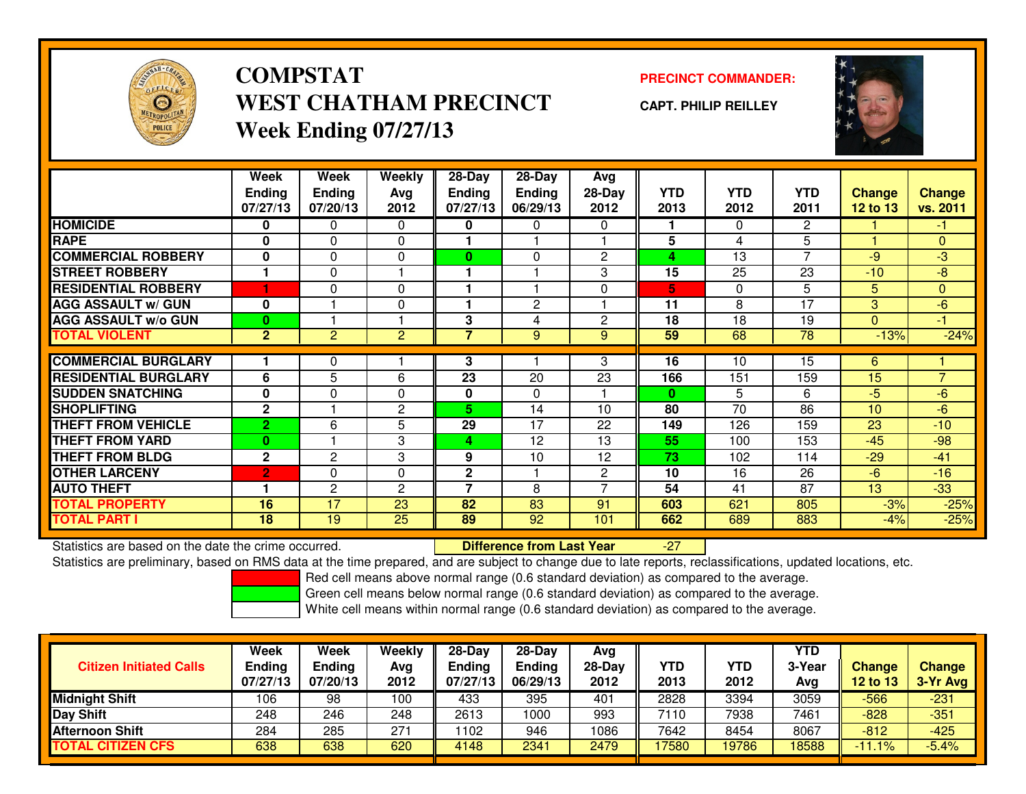

## **COMPSTATWEST CHATHAM PRECINCTWeek Ending 07/27/13**

### **PRECINCT COMMANDER:**

**CAPT. PHILIP REILLEY**



|                             | Week<br><b>Ending</b><br>07/27/13 | Week<br><b>Ending</b><br>07/20/13 | Weekly<br>Ava<br>2012 | $28-Day$<br><b>Ending</b><br>07/27/13 | $28$ -Day<br><b>Ending</b><br>06/29/13 | Avg<br>$28-Day$<br>2012 | YTD.<br>2013 | <b>YTD</b><br>2012 | <b>YTD</b><br>2011 | <b>Change</b><br>12 to 13 | <b>Change</b><br>vs. 2011 |
|-----------------------------|-----------------------------------|-----------------------------------|-----------------------|---------------------------------------|----------------------------------------|-------------------------|--------------|--------------------|--------------------|---------------------------|---------------------------|
| <b>HOMICIDE</b>             | 0                                 | 0                                 | 0                     | 0                                     | 0                                      | 0                       |              | $\Omega$           | $\overline{2}$     |                           | $-1$                      |
| <b>RAPE</b>                 | $\mathbf 0$                       | 0                                 | $\Omega$              |                                       |                                        |                         | 5            | 4                  | 5                  |                           | $\Omega$                  |
| <b>COMMERCIAL ROBBERY</b>   | $\mathbf 0$                       | $\Omega$                          | 0                     | $\bf{0}$                              | $\Omega$                               | $\mathbf{2}$            | 4            | 13                 | 7                  | $-9$                      | -3                        |
| <b>STREET ROBBERY</b>       |                                   | 0                                 |                       |                                       |                                        | 3                       | 15           | 25                 | 23                 | $-10$                     | -8                        |
| <b>RESIDENTIAL ROBBERY</b>  | ٠                                 | $\Omega$                          | $\Omega$              |                                       |                                        | $\Omega$                | 5            | $\Omega$           | 5                  | 5                         | $\Omega$                  |
| <b>AGG ASSAULT W/ GUN</b>   | 0                                 |                                   | 0                     |                                       | $\overline{c}$                         |                         | 11           | 8                  | 17                 | 3                         | $-6$                      |
| <b>AGG ASSAULT w/o GUN</b>  | $\bf{0}$                          |                                   |                       | 3                                     | 4                                      | $\mathbf{2}$            | 18           | 18                 | 19                 | $\mathbf{0}$              | -1                        |
| <b>TOTAL VIOLENT</b>        | $\overline{2}$                    | $\overline{2}$                    | $\overline{c}$        | 7                                     | 9                                      | 9                       | 59           | 68                 | 78                 | $-13%$                    | $-24%$                    |
|                             |                                   |                                   |                       |                                       |                                        |                         |              |                    |                    |                           |                           |
| <b>COMMERCIAL BURGLARY</b>  |                                   | 0                                 |                       | 3                                     |                                        | 3                       | 16           | 10                 | 15                 | 6                         |                           |
| <b>RESIDENTIAL BURGLARY</b> | 6                                 | 5                                 | 6                     | $\overline{23}$                       | 20                                     | 23                      | 166          | 151                | 159                | 15                        | $\overline{7}$            |
| <b>ISUDDEN SNATCHING</b>    | $\mathbf 0$                       | 0                                 | 0                     | 0                                     | $\Omega$                               |                         | $\bf{0}$     | 5                  | 6                  | $-5$                      | $-6$                      |
| <b>SHOPLIFTING</b>          | $\mathbf{2}$                      |                                   | 2                     | 5.                                    | 14                                     | 10                      | 80           | 70                 | 86                 | 10                        | $-6$                      |
| <b>THEFT FROM VEHICLE</b>   | $\overline{2}$                    | 6                                 | 5                     | 29                                    | 17                                     | 22                      | 149          | 126                | 159                | 23                        | $-10$                     |
| <b>THEFT FROM YARD</b>      | $\bf{0}$                          |                                   | 3                     | 4                                     | 12                                     | 13                      | 55           | 100                | 153                | $-45$                     | $-98$                     |
| <b>THEFT FROM BLDG</b>      | $\mathbf{2}$                      | 2                                 | 3                     | 9                                     | 10                                     | 12                      | 73           | 102                | 114                | $-29$                     | $-41$                     |
| <b>OTHER LARCENY</b>        | $\overline{2}$                    | 0                                 | 0                     | $\mathbf{2}$                          |                                        | $\overline{2}$          | 10           | 16                 | 26                 | $-6$                      | $-16$                     |
| <b>AUTO THEFT</b>           |                                   | $\mathbf{2}$                      | 2                     | 7                                     | 8                                      | $\overline{ }$          | 54           | 41                 | 87                 | 13                        | $-33$                     |
| <b>TOTAL PROPERTY</b>       | 16                                | 17                                | 23                    | 82                                    | 83                                     | 91                      | 603          | 621                | 805                | $-3%$                     | $-25%$                    |
| <b>TOTAL PART I</b>         | 18                                | 19                                | 25                    | 89                                    | 92                                     | 101                     | 662          | 689                | 883                | -4%                       | $-25%$                    |

Statistics are based on the date the crime occurred. **Difference from Last Year** 

Statistics are based on the date the crime occurred.<br>Statistics are preliminary, based on RMS data at the time prepared, and are subject to change due to late reports, reclassifications, updated locations, etc.

Red cell means above normal range (0.6 standard deviation) as compared to the average.

Green cell means below normal range (0.6 standard deviation) as compared to the average.

| <b>Citizen Initiated Calls</b> | Week<br><b>Ending</b><br>07/27/13 | <b>Week</b><br>Ending<br>07/20/13 | Weekly<br>Avg<br>2012 | $28-Dav$<br><b>Ending</b><br>07/27/13 | $28-Dav$<br><b>Ending</b><br>06/29/13 | Avg<br>$28-Day$<br>2012 | YTD<br>2013 | YTD<br>2012 | YTD<br>3-Year<br>Avg | <b>Change</b><br>12 to 13 | <b>Change</b><br>3-Yr Avg |
|--------------------------------|-----------------------------------|-----------------------------------|-----------------------|---------------------------------------|---------------------------------------|-------------------------|-------------|-------------|----------------------|---------------------------|---------------------------|
| <b>Midnight Shift</b>          | 106                               | 98                                | 100                   | 433                                   | 395                                   | 401                     | 2828        | 3394        | 3059                 | -566                      | $-231$                    |
| <b>Day Shift</b>               | 248                               | 246                               | 248                   | 2613                                  | 1000                                  | 993                     | 7110        | 7938        | 7461                 | $-828$                    | $-351$                    |
| <b>Afternoon Shift</b>         | 284                               | 285                               | 271                   | 1102                                  | 946                                   | 1086                    | 7642        | 8454        | 8067                 | $-812$                    | $-425$                    |
| <b>TOTAL CITIZEN CFS</b>       | 638                               | 638                               | 620                   | 4148                                  | 2341                                  | 2479                    | 17580       | 19786       | 18588                | $1\%$<br><b>T11.</b>      | $-5.4%$                   |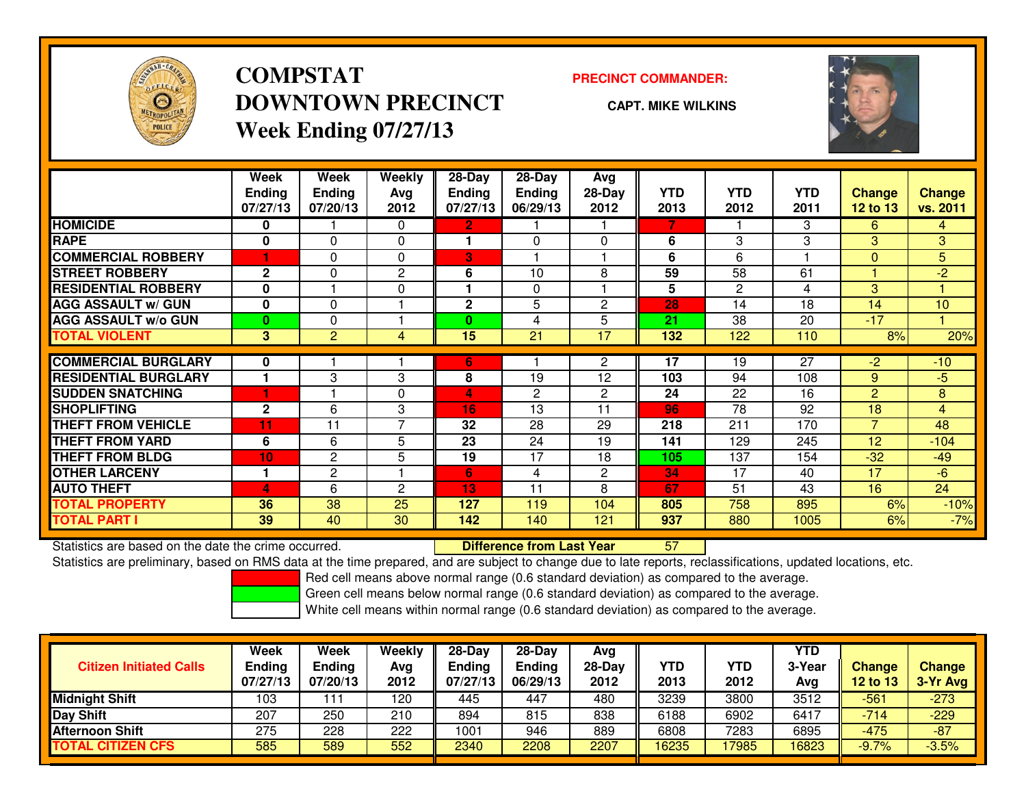

**COMPSTATDOWNTOWN PRECINCTWeek Ending 07/27/13**

#### **PRECINCT COMMANDER:**

**CAPT. MIKE WILKINS**



|                             | Week<br><b>Ending</b><br>07/27/13 | Week<br><b>Ending</b><br>07/20/13 | <b>Weekly</b><br>Avg<br>2012 | $28 - Day$<br><b>Ending</b><br>07/27/13 | $28$ -Day<br><b>Ending</b><br>06/29/13 | Avg<br>28-Day<br>2012 | <b>YTD</b><br>2013 | <b>YTD</b><br>2012 | <b>YTD</b><br>2011 | <b>Change</b><br><b>12 to 13</b> | <b>Change</b><br>vs. 2011 |
|-----------------------------|-----------------------------------|-----------------------------------|------------------------------|-----------------------------------------|----------------------------------------|-----------------------|--------------------|--------------------|--------------------|----------------------------------|---------------------------|
| <b>HOMICIDE</b>             | 0                                 |                                   | $\Omega$                     | 2                                       |                                        |                       | 7                  |                    | 3                  | 6                                | $\overline{4}$            |
| <b>RAPE</b>                 | $\bf{0}$                          | $\Omega$                          | 0                            |                                         | $\Omega$                               | $\Omega$              | 6                  | 3                  | 3                  | 3                                | 3                         |
| <b>COMMERCIAL ROBBERY</b>   |                                   | $\Omega$                          | $\Omega$                     | 3                                       |                                        |                       | 6                  | 6                  |                    | $\Omega$                         | 5                         |
| <b>STREET ROBBERY</b>       | $\mathbf{2}$                      | 0                                 | 2                            | 6                                       | 10                                     | 8                     | 59                 | 58                 | 61                 |                                  | $-2$                      |
| <b>RESIDENTIAL ROBBERY</b>  | $\mathbf{0}$                      |                                   | $\mathbf{0}$                 |                                         | $\Omega$                               |                       | 5                  | $\overline{2}$     | 4                  | 3                                |                           |
| <b>AGG ASSAULT W/ GUN</b>   | $\mathbf{0}$                      | $\Omega$                          |                              | 2                                       | 5                                      | $\mathbf{2}$          | 28                 | 14                 | 18                 | 14                               | 10                        |
| <b>AGG ASSAULT w/o GUN</b>  | $\mathbf{0}$                      | 0                                 |                              | 0                                       | 4                                      | 5                     | 21                 | 38                 | 20                 | $-17$                            |                           |
| <b>TOTAL VIOLENT</b>        | 3                                 | $\overline{2}$                    | 4                            | 15                                      | 21                                     | 17                    | 132                | 122                | 110                | 8%                               | 20%                       |
|                             |                                   |                                   |                              |                                         |                                        |                       |                    |                    |                    |                                  |                           |
| <b>COMMERCIAL BURGLARY</b>  | 0                                 |                                   |                              | 6                                       |                                        | $\overline{2}$        | 17                 | 19                 | 27                 | $-2$                             | $-10$                     |
| <b>RESIDENTIAL BURGLARY</b> |                                   | 3                                 | 3                            | 8                                       | 19                                     | 12                    | 103                | 94                 | 108                | 9                                | $-5$                      |
| <b>SUDDEN SNATCHING</b>     |                                   |                                   | $\Omega$                     | 4                                       | $\mathbf{2}$                           | $\mathbf{2}$          | 24                 | 22                 | 16                 | $\overline{2}$                   | 8                         |
| <b>SHOPLIFTING</b>          | $\mathbf{2}$                      | 6                                 | 3                            | 16                                      | 13                                     | 11                    | 96                 | 78                 | 92                 | 18                               | $\overline{4}$            |
| <b>THEFT FROM VEHICLE</b>   | 11                                | 11                                | 7                            | 32                                      | 28                                     | 29                    | 218                | 211                | 170                | $\overline{7}$                   | 48                        |
| <b>THEFT FROM YARD</b>      | 6                                 | 6                                 | 5                            | 23                                      | 24                                     | 19                    | 141                | 129                | 245                | 12 <sup>2</sup>                  | $-104$                    |
| <b>THEFT FROM BLDG</b>      | 10                                | $\overline{c}$                    | 5                            | 19                                      | 17                                     | 18                    | 105                | 137                | 154                | $-32$                            | $-49$                     |
| <b>OTHER LARCENY</b>        |                                   | $\overline{c}$                    |                              | 6                                       | 4                                      | $\mathbf{2}$          | 34                 | 17                 | 40                 | 17                               | $-6$                      |
| <b>AUTO THEFT</b>           | 4                                 | 6                                 | $\mathbf{c}$                 | 13                                      | 11                                     | 8                     | 67                 | 51                 | 43                 | 16                               | 24                        |
| <b>TOTAL PROPERTY</b>       | 36                                | 38                                | 25                           | 127                                     | 119                                    | 104                   | 805                | 758                | 895                | 6%                               | $-10%$                    |
| <b>TOTAL PART I</b>         | 39                                | 40                                | 30                           | 142                                     | 140                                    | 121                   | 937                | 880                | 1005               | 6%                               | $-7%$                     |

Statistics are based on the date the crime occurred. **Difference from Last Year** 

Statistics are based on the date the crime occurred. **Internement of the conduct of the conduct of the conduct**<br>Statistics are preliminary, based on RMS data at the time prepared, and are subject to change due to late repo

Red cell means above normal range (0.6 standard deviation) as compared to the average.

Green cell means below normal range (0.6 standard deviation) as compared to the average.

| <b>Citizen Initiated Calls</b> | Week<br><b>Ending</b><br>07/27/13 | Week<br><b>Ending</b><br>07/20/13 | Weekly<br>Avg<br>2012 | $28-Dav$<br><b>Endina</b><br>07/27/13 | $28-Dav$<br><b>Ending</b><br>06/29/13 | Avg<br>28-Day<br>2012 | YTD<br>2013 | YTD<br>2012 | <b>YTD</b><br>3-Year<br>Avg | <b>Change</b><br><b>12 to 13</b> | <b>Change</b><br>3-Yr Avg |
|--------------------------------|-----------------------------------|-----------------------------------|-----------------------|---------------------------------------|---------------------------------------|-----------------------|-------------|-------------|-----------------------------|----------------------------------|---------------------------|
| <b>Midnight Shift</b>          | 103                               |                                   | 120                   | 445                                   | 447                                   | 480                   | 3239        | 3800        | 3512                        | -561                             | $-273$                    |
| Day Shift                      | 207                               | 250                               | 210                   | 894                                   | 815                                   | 838                   | 6188        | 6902        | 6417                        | $-714$                           | $-229$                    |
| <b>Afternoon Shift</b>         | 275                               | 228                               | 222                   | 1001                                  | 946                                   | 889                   | 6808        | 7283        | 6895                        | $-475$                           | $-87$                     |
| <b>TOTAL CITIZEN CFS</b>       | 585                               | 589                               | 552                   | 2340                                  | 2208                                  | 2207                  | 16235       | 17985       | 16823                       | $-9.7%$                          | $-3.5%$                   |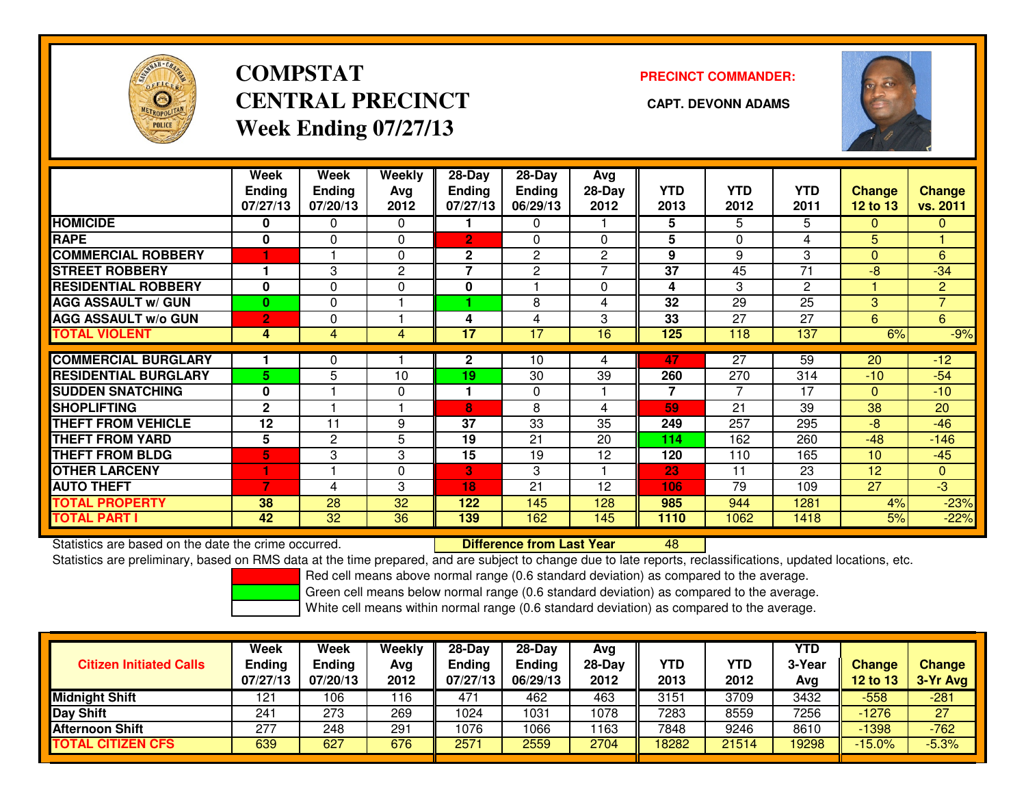

## **COMPSTATCENTRAL PRECINCT CAPT. DEVONN ADAMSWeek Ending 07/27/13**

### **PRECINCT COMMANDER:**



|                             | Week           | Week           | Weekly       | $28-Day$       | 28-Day         | Avg            |            |                |              |               |                |
|-----------------------------|----------------|----------------|--------------|----------------|----------------|----------------|------------|----------------|--------------|---------------|----------------|
|                             | <b>Ending</b>  | <b>Ending</b>  | Avg          | <b>Ending</b>  | <b>Ending</b>  | 28-Day         | <b>YTD</b> | <b>YTD</b>     | <b>YTD</b>   | <b>Change</b> | <b>Change</b>  |
|                             | 07/27/13       | 07/20/13       | 2012         | 07/27/13       | 06/29/13       | 2012           | 2013       | 2012           | 2011         | 12 to 13      | vs. 2011       |
| <b>HOMICIDE</b>             | 0              | 0              | 0            |                | 0              |                | 5.         | 5              | 5            | $\Omega$      | $\mathbf{0}$   |
| <b>RAPE</b>                 | 0              | $\Omega$       | 0            | $\overline{2}$ | 0              | $\Omega$       | 5          | $\Omega$       | 4            | 5             |                |
| <b>COMMERCIAL ROBBERY</b>   | n              |                | 0            | $\mathbf{2}$   | $\mathbf{2}$   | $\overline{2}$ | 9          | 9              | 3            | $\Omega$      | 6              |
| <b>STREET ROBBERY</b>       |                | 3              | $\mathbf{2}$ | 7              | $\overline{2}$ |                | 37         | 45             | 71           | $-8$          | $-34$          |
| <b>RESIDENTIAL ROBBERY</b>  | 0              | $\Omega$       | 0            | $\mathbf{0}$   |                | 0              | 4          | 3              | $\mathbf{2}$ |               | $\overline{2}$ |
| <b>AGG ASSAULT w/ GUN</b>   | $\bf{0}$       | $\Omega$       |              |                | 8              | 4              | 32         | 29             | 25           | 3             | $\overline{7}$ |
| <b>AGG ASSAULT w/o GUN</b>  | $\overline{2}$ | 0              |              | 4              | 4              | 3              | 33         | 27             | 27           | 6             | 6              |
| <b>TOTAL VIOLENT</b>        | 4              | 4              | 4            | 17             | 17             | 16             | 125        | 118            | 137          | 6%            | $-9%$          |
|                             |                |                |              |                | 10             |                |            | 27             | 59           |               |                |
| <b>COMMERCIAL BURGLARY</b>  |                | 0              |              | $\mathbf{2}$   |                | 4              | 47         |                |              | 20            | $-12$          |
| <b>RESIDENTIAL BURGLARY</b> | 5.             | 5              | 10           | 19             | 30             | 39             | 260        | 270            | 314          | $-10$         | $-54$          |
| <b>SUDDEN SNATCHING</b>     | 0              |                | 0            |                | $\Omega$       |                | 7          | $\overline{7}$ | 17           | $\Omega$      | $-10$          |
| <b>SHOPLIFTING</b>          | $\mathbf{2}$   |                |              | 8              | 8              | 4              | 59         | 21             | 39           | 38            | 20             |
| <b>THEFT FROM VEHICLE</b>   | 12             | 11             | 9            | 37             | 33             | 35             | 249        | 257            | 295          | $-8$          | $-46$          |
| <b>THEFT FROM YARD</b>      | 5              | $\overline{2}$ | 5            | 19             | 21             | 20             | 114        | 162            | 260          | $-48$         | $-146$         |
| <b>THEFT FROM BLDG</b>      | 5              | 3              | 3            | 15             | 19             | 12             | 120        | 110            | 165          | 10            | $-45$          |
| <b>OTHER LARCENY</b>        | 1              |                | 0            | 3              | 3              |                | 23         | 11             | 23           | 12            | $\mathbf{0}$   |
| <b>AUTO THEFT</b>           | 7              | 4              | 3            | 18             | 21             | 12             | 106        | 79             | 109          | 27            | $-3$           |
| <b>TOTAL PROPERTY</b>       | 38             | 28             | 32           | 122            | 145            | 128            | 985        | 944            | 1281         | 4%            | $-23%$         |
| <b>TOTAL PART I</b>         | 42             | 32             | 36           | 139            | 162            | 145            | 1110       | 1062           | 1418         | 5%            | $-22%$         |

Statistics are based on the date the crime occurred. **Difference from Last Year** 

<sup>48</sup>

Statistics are preliminary, based on RMS data at the time prepared, and are subject to change due to late reports, reclassifications, updated locations, etc.

Red cell means above normal range (0.6 standard deviation) as compared to the average.

Green cell means below normal range (0.6 standard deviation) as compared to the average.

| <b>Citizen Initiated Calls</b> | Week<br><b>Ending</b><br>07/27/13 | <b>Week</b><br>Ending<br>07/20/13 | Weekly<br>Avg<br>2012 | $28 - Day$<br><b>Ending</b><br>07/27/13 | $28 - Day$<br><b>Ending</b><br>06/29/13 | Ava<br>$28-Dav$<br>2012 | <b>YTD</b><br>2013 | YTD<br>2012 | <b>YTD</b><br>3-Year<br>Avg | <b>Change</b><br><b>12 to 13</b> | <b>Change</b><br>3-Yr Avg |
|--------------------------------|-----------------------------------|-----------------------------------|-----------------------|-----------------------------------------|-----------------------------------------|-------------------------|--------------------|-------------|-----------------------------|----------------------------------|---------------------------|
| <b>Midnight Shift</b>          | 121                               | 106                               | ∣16                   | 47'                                     | 462                                     | 463                     | 3151               | 3709        | 3432                        | $-558$                           | $-281$                    |
| <b>Day Shift</b>               | 241                               | 273                               | 269                   | 1024                                    | 1031                                    | 1078                    | 7283               | 8559        | 7256                        | $-1276$                          | 27                        |
| Afternoon Shift                | 277                               | 248                               | 291                   | 1076                                    | 1066                                    | 163                     | 7848               | 9246        | 8610                        | $-1398$                          | $-762$                    |
| <b>TOTAL CITIZEN CFS</b>       | 639                               | 627                               | 676                   | 2571                                    | 2559                                    | 2704                    | 18282              | 21514       | 9298                        | $-15.0%$                         | $-5.3%$                   |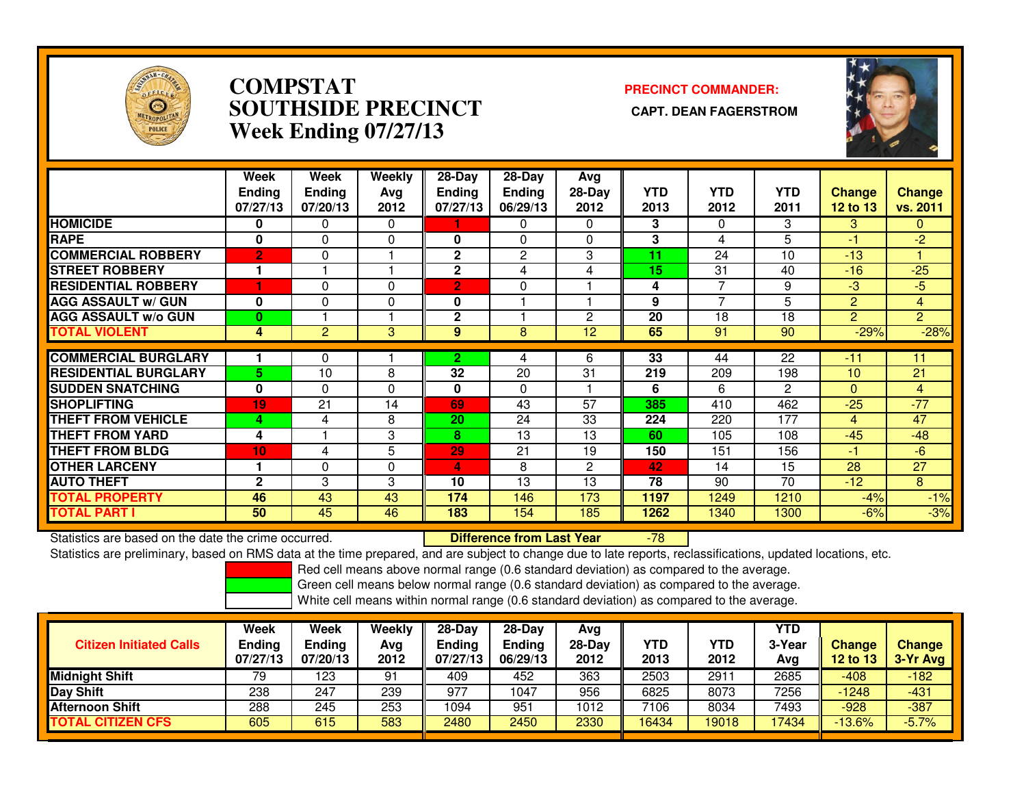

### **COMPSTAT PRECINCT COMMANDER: SOUTHSIDE PRECINCT CAPT. DEAN FAGERSTROMWeek Ending 07/27/13**



|                             | Week<br><b>Ending</b><br>07/27/13 | Week<br><b>Ending</b><br>07/20/13 | Weekly<br>Avg<br>2012 | $28-Day$<br><b>Ending</b><br>07/27/13 | $28-Day$<br><b>Ending</b><br>06/29/13 | Avg<br>$28-Day$<br>2012 | <b>YTD</b><br>2013 | <b>YTD</b><br>2012 | <b>YTD</b><br>2011 | <b>Change</b><br>12 to 13 | Change<br>vs. 2011 |
|-----------------------------|-----------------------------------|-----------------------------------|-----------------------|---------------------------------------|---------------------------------------|-------------------------|--------------------|--------------------|--------------------|---------------------------|--------------------|
| <b>HOMICIDE</b>             | 0                                 | 0                                 | $\Omega$              |                                       | 0                                     | $\Omega$                | 3                  | <sup>0</sup>       | 3                  | 3                         | $\mathbf{0}$       |
| <b>RAPE</b>                 | 0                                 | 0                                 | 0                     | 0                                     | 0                                     | $\Omega$                | 3                  | 4                  | 5                  | -1                        | -2                 |
| <b>COMMERCIAL ROBBERY</b>   | $\overline{2}$                    | 0                                 |                       | $\mathbf{2}$                          | 2                                     | 3                       | 11                 | 24                 | 10                 | $-13$                     |                    |
| <b>STREET ROBBERY</b>       | 1                                 |                                   |                       | $\mathbf{2}$                          | 4                                     | 4                       | 15                 | 31                 | 40                 | $-16$                     | $-25$              |
| <b>RESIDENTIAL ROBBERY</b>  |                                   | 0                                 | $\mathbf{0}$          | $\overline{2}$                        | 0                                     |                         | 4                  | $\overline{ }$     | 9                  | -3                        | $-5$               |
| <b>AGG ASSAULT w/ GUN</b>   | O                                 | 0                                 | $\mathbf{0}$          | 0                                     |                                       |                         | 9                  | ⇁                  | 5                  | 2                         | 4                  |
| <b>AGG ASSAULT w/o GUN</b>  | 0                                 |                                   |                       | $\mathbf{2}$                          |                                       | 2                       | 20                 | 18                 | 18                 | $\overline{2}$            | $\overline{2}$     |
| <b>TOTAL VIOLENT</b>        | 4                                 | $\overline{2}$                    | $\overline{3}$        | 9                                     | 8                                     | 12                      | 65                 | 91                 | 90                 | $-29%$                    | $-28%$             |
|                             |                                   |                                   |                       |                                       |                                       |                         |                    |                    |                    |                           |                    |
| <b>COMMERCIAL BURGLARY</b>  |                                   | 0                                 |                       | 2                                     | 4                                     | 6                       | $\overline{33}$    | 44                 | $\overline{22}$    | -11                       | 11                 |
| <b>RESIDENTIAL BURGLARY</b> | 5                                 | 10                                | 8                     | 32                                    | 20                                    | 31                      | 219                | 209                | 198                | 10                        | 21                 |
| <b>SUDDEN SNATCHING</b>     | $\bf{0}$                          | 0                                 | $\mathbf{0}$          | 0                                     | 0                                     |                         | 6                  | 6                  | 2                  | $\mathbf{0}$              | $\overline{4}$     |
| <b>SHOPLIFTING</b>          | 19                                | 21                                | 14                    | 69                                    | 43                                    | 57                      | 385                | 410                | 462                | $-25$                     | $-77$              |
| <b>THEFT FROM VEHICLE</b>   | 4                                 | 4                                 | 8                     | 20                                    | 24                                    | 33                      | 224                | 220                | 177                | 4                         | 47                 |
| <b>THEFT FROM YARD</b>      | 4                                 |                                   | 3                     | 8                                     | 13                                    | 13                      | 60                 | 105                | 108                | $-45$                     | $-48$              |
| <b>THEFT FROM BLDG</b>      | 10 <sub>1</sub>                   | 4                                 | 5                     | 29                                    | 21                                    | 19                      | 150                | 151                | 156                | -1                        | $-6$               |
| <b>OTHER LARCENY</b>        | 1                                 | 0                                 | $\mathbf{0}$          | 4                                     | 8                                     | $\overline{2}$          | 42                 | 14                 | 15                 | 28                        | 27                 |
| <b>AUTO THEFT</b>           | $\mathbf{2}$                      | 3                                 | 3                     | 10                                    | 13                                    | 13                      | 78                 | 90                 | 70                 | $-12$                     | 8                  |
| <b>TOTAL PROPERTY</b>       | 46                                | 43                                | 43                    | 174                                   | 146                                   | 173                     | 1197               | 1249               | 1210               | $-4%$                     | $-1%$              |
| <b>TOTAL PART I</b>         | 50                                | 45                                | 46                    | 183                                   | 154                                   | 185                     | 1262               | 1340               | 1300               | $-6%$                     | $-3%$              |

Statistics are based on the date the crime occurred. **Difference from Last Year** Statistics are based on the date the crime occurred. **Externee the Lub of Liberty Cast Year 198** 178 1980 11 and<br>Statistics are preliminary, based on RMS data at the time prepared, and are subject to change due to late rep

Red cell means above normal range (0.6 standard deviation) as compared to the average.

Green cell means below normal range (0.6 standard deviation) as compared to the average.

| <b>Citizen Initiated Calls</b> | Week<br><b>Ending</b><br>07/27/13 | <b>Week</b><br>Ending<br>07/20/13 | Weekly<br>Avg<br>2012 | 28-Dav<br>Ending<br>07/27/13 | 28-Dav<br><b>Ending</b><br>06/29/13 | Avg<br>$28-Day$<br>2012 | <b>YTD</b><br>2013 | YTD<br>2012 | YTD<br>3-Year<br>Avg | <b>Change</b><br>12 to 13 | <b>Change</b><br>3-Yr Avg |
|--------------------------------|-----------------------------------|-----------------------------------|-----------------------|------------------------------|-------------------------------------|-------------------------|--------------------|-------------|----------------------|---------------------------|---------------------------|
| <b>Midnight Shift</b>          | 79                                | 123                               | 91                    | 409                          | 452                                 | 363                     | 2503               | $291 -$     | 2685                 | $-408$                    | $-182$                    |
| Day Shift                      | 238                               | 247                               | 239                   | 977                          | 1047                                | 956                     | 6825               | 8073        | 7256                 | $-1248$                   | $-431$                    |
| <b>Afternoon Shift</b>         | 288                               | 245                               | 253                   | 1094                         | 951                                 | 1012                    | 7106               | 8034        | 7493                 | $-928$                    | $-387$                    |
| <b>TOTAL CITIZEN CFS</b>       | 605                               | 615                               | 583                   | 2480                         | 2450                                | 2330                    | 16434              | 19018       | 17434                | $-13.6%$                  | $-5.7%$                   |